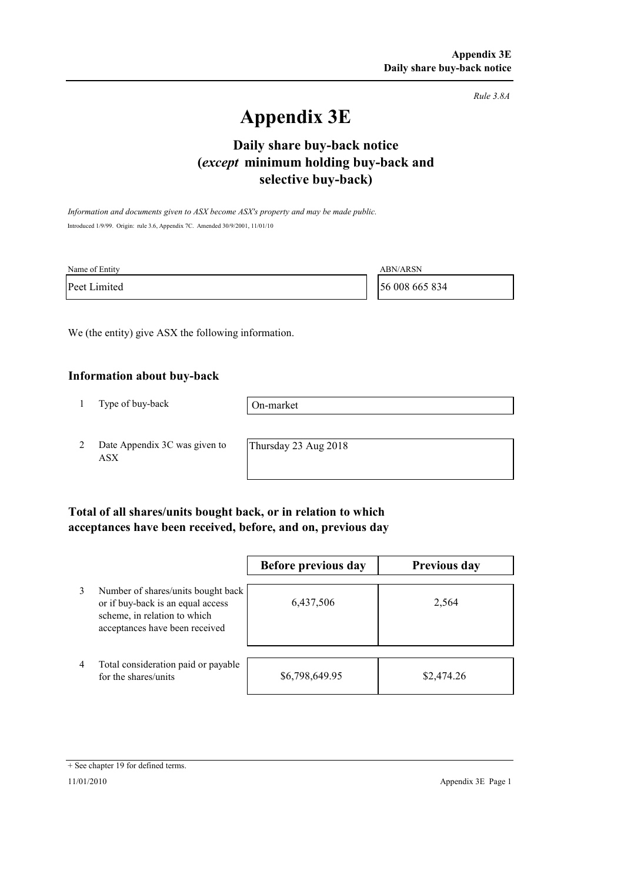*Rule 3.8A*

# **Appendix 3E**

# **selective buy-back) Daily share buy-back notice (***except* **minimum holding buy-back and**

*Information and documents given to ASX become ASX's property and may be made public.* Introduced 1/9/99. Origin: rule 3.6, Appendix 7C. Amended 30/9/2001, 11/01/10

| Name of Entity | <b>ABN/ARSN</b> |
|----------------|-----------------|
| Peet Limited   | 56 008 665 834  |

We (the entity) give ASX the following information.

#### **Information about buy-back**

1 Type of buy-back

On-market

2 Date Appendix 3C was given to ASX

Thursday 23 Aug 2018

### **Total of all shares/units bought back, or in relation to which acceptances have been received, before, and on, previous day**

|                |                                                                                                                                           | Before previous day | <b>Previous day</b> |
|----------------|-------------------------------------------------------------------------------------------------------------------------------------------|---------------------|---------------------|
| 3              | Number of shares/units bought back<br>or if buy-back is an equal access<br>scheme, in relation to which<br>acceptances have been received | 6,437,506           | 2,564               |
| $\overline{4}$ | Total consideration paid or payable<br>for the shares/units                                                                               | \$6,798,649.95      | \$2,474.26          |

<sup>+</sup> See chapter 19 for defined terms.